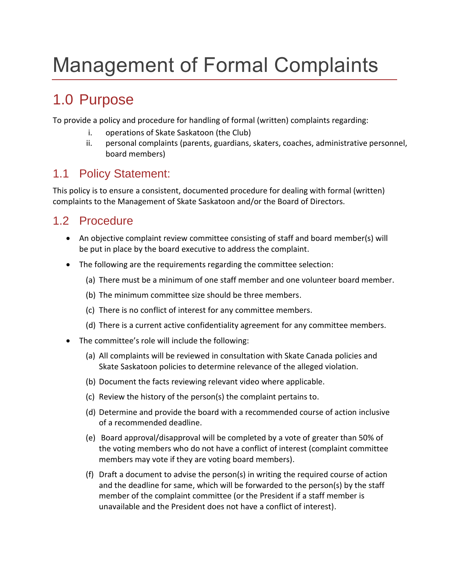# Management of Formal Complaints

## 1.0 Purpose

To provide a policy and procedure for handling of formal (written) complaints regarding:

- i. operations of Skate Saskatoon (the Club)
- ii. personal complaints (parents, guardians, skaters, coaches, administrative personnel, board members)

#### 1.1 Policy Statement:

This policy is to ensure a consistent, documented procedure for dealing with formal (written) complaints to the Management of Skate Saskatoon and/or the Board of Directors.

### 1.2 Procedure

- An objective complaint review committee consisting of staff and board member(s) will be put in place by the board executive to address the complaint.
- The following are the requirements regarding the committee selection:
	- (a) There must be a minimum of one staff member and one volunteer board member.
	- (b) The minimum committee size should be three members.
	- (c) There is no conflict of interest for any committee members.
	- (d) There is a current active confidentiality agreement for any committee members.
- The committee's role will include the following:
	- (a) All complaints will be reviewed in consultation with Skate Canada policies and Skate Saskatoon policies to determine relevance of the alleged violation.
	- (b) Document the facts reviewing relevant video where applicable.
	- (c) Review the history of the person(s) the complaint pertains to.
	- (d) Determine and provide the board with a recommended course of action inclusive of a recommended deadline.
	- (e) Board approval/disapproval will be completed by a vote of greater than 50% of the voting members who do not have a conflict of interest (complaint committee members may vote if they are voting board members).
	- (f) Draft a document to advise the person(s) in writing the required course of action and the deadline for same, which will be forwarded to the person(s) by the staff member of the complaint committee (or the President if a staff member is unavailable and the President does not have a conflict of interest).